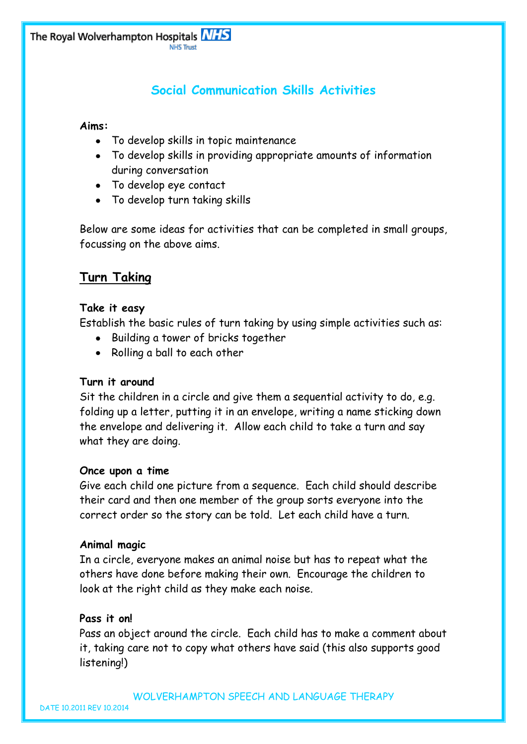# **Social Communication Skills Activities**

## **Aims:**

- To develop skills in topic maintenance
- To develop skills in providing appropriate amounts of information during conversation
- To develop eye contact
- To develop turn taking skills

Below are some ideas for activities that can be completed in small groups, focussing on the above aims.

## **Turn Taking**

## **Take it easy**

Establish the basic rules of turn taking by using simple activities such as:

- Building a tower of bricks together
- Rolling a ball to each other  $\bullet$

## **Turn it around**

Sit the children in a circle and give them a sequential activity to do, e.g. folding up a letter, putting it in an envelope, writing a name sticking down the envelope and delivering it. Allow each child to take a turn and say what they are doing.

#### **Once upon a time**

Give each child one picture from a sequence. Each child should describe their card and then one member of the group sorts everyone into the correct order so the story can be told. Let each child have a turn.

## **Animal magic**

In a circle, everyone makes an animal noise but has to repeat what the others have done before making their own. Encourage the children to look at the right child as they make each noise.

## **Pass it on!**

Pass an object around the circle. Each child has to make a comment about it, taking care not to copy what others have said (this also supports good listening!)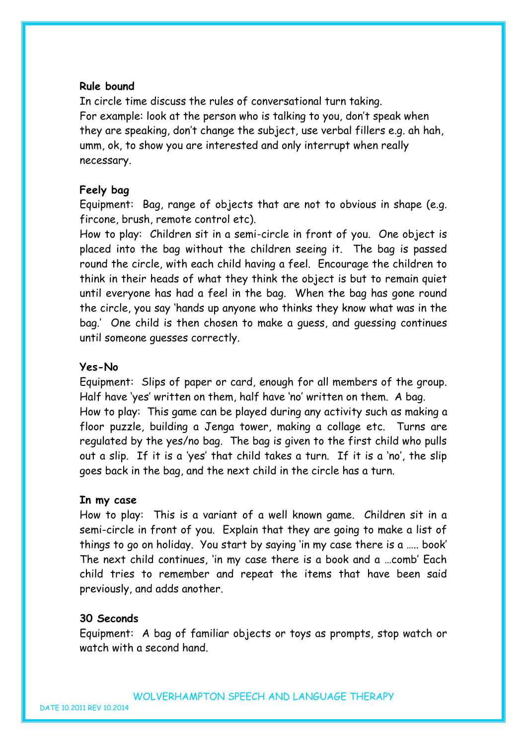#### **Rule bound**

In circle time discuss the rules of conversational turn taking. For example: look at the person who is talking to you, don't speak when they are speaking, don't change the subject, use verbal fillers e.g. ah hah, umm, ok, to show you are interested and only interrupt when really necessary.

#### **Feely bag**

Equipment: Bag, range of objects that are not to obvious in shape (e.g. fircone, brush, remote control etc).

How to play: Children sit in a semi-circle in front of you. One object is placed into the bag without the children seeing it. The bag is passed round the circle, with each child having a feel. Encourage the children to think in their heads of what they think the object is but to remain quiet until everyone has had a feel in the bag. When the bag has gone round the circle, you say 'hands up anyone who thinks they know what was in the bag.' One child is then chosen to make a guess, and guessing continues until someone guesses correctly.

#### **Yes-No**

Equipment: Slips of paper or card, enough for all members of the group. Half have 'yes' written on them, half have 'no' written on them. A bag.

How to play: This game can be played during any activity such as making a floor puzzle, building a Jenga tower, making a collage etc. Turns are regulated by the yes/no bag. The bag is given to the first child who pulls out a slip. If it is a 'yes' that child takes a turn. If it is a 'no', the slip goes back in the bag, and the next child in the circle has a turn.

#### **In my case**

How to play: This is a variant of a well known game. Children sit in a semi-circle in front of you. Explain that they are going to make a list of things to go on holiday. You start by saying 'in my case there is a ….. book' The next child continues, 'in my case there is a book and a …comb' Each child tries to remember and repeat the items that have been said previously, and adds another.

#### **30 Seconds**

Equipment: A bag of familiar objects or toys as prompts, stop watch or watch with a second hand.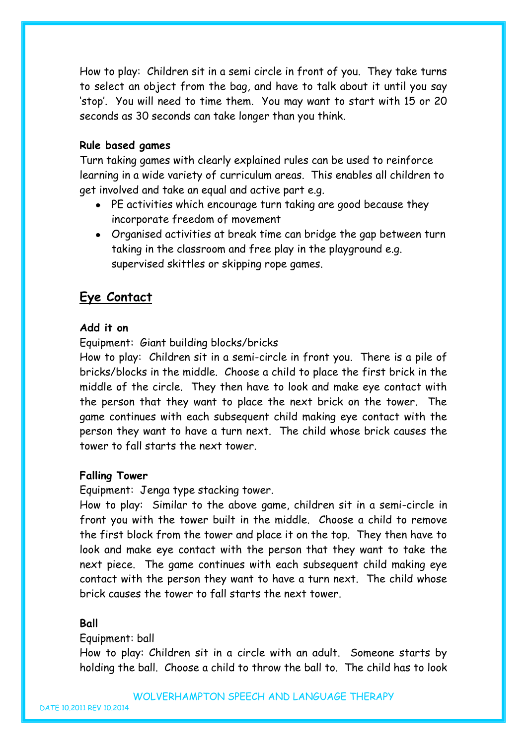How to play: Children sit in a semi circle in front of you. They take turns to select an object from the bag, and have to talk about it until you say 'stop'. You will need to time them. You may want to start with 15 or 20 seconds as 30 seconds can take longer than you think.

#### **Rule based games**

Turn taking games with clearly explained rules can be used to reinforce learning in a wide variety of curriculum areas. This enables all children to get involved and take an equal and active part e.g.

- PE activities which encourage turn taking are good because they incorporate freedom of movement
- Organised activities at break time can bridge the gap between turn taking in the classroom and free play in the playground e.g. supervised skittles or skipping rope games.

## **Eye Contact**

#### **Add it on**

Equipment: Giant building blocks/bricks

How to play: Children sit in a semi-circle in front you. There is a pile of bricks/blocks in the middle. Choose a child to place the first brick in the middle of the circle. They then have to look and make eye contact with the person that they want to place the next brick on the tower. The game continues with each subsequent child making eye contact with the person they want to have a turn next. The child whose brick causes the tower to fall starts the next tower.

#### **Falling Tower**

Equipment: Jenga type stacking tower.

How to play: Similar to the above game, children sit in a semi-circle in front you with the tower built in the middle. Choose a child to remove the first block from the tower and place it on the top. They then have to look and make eye contact with the person that they want to take the next piece. The game continues with each subsequent child making eye contact with the person they want to have a turn next. The child whose brick causes the tower to fall starts the next tower.

#### **Ball**

#### Equipment: ball

How to play: Children sit in a circle with an adult. Someone starts by holding the ball. Choose a child to throw the ball to. The child has to look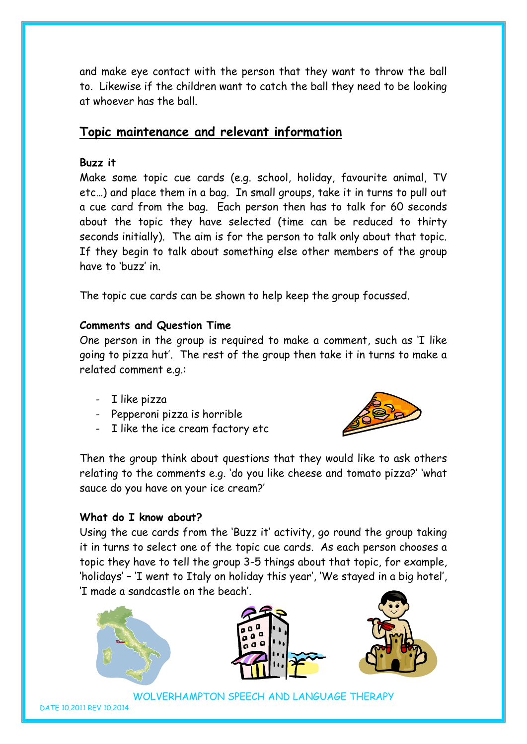and make eye contact with the person that they want to throw the ball to. Likewise if the children want to catch the ball they need to be looking at whoever has the ball.

## **Topic maintenance and relevant information**

## **Buzz it**

Make some topic cue cards (e.g. school, holiday, favourite animal, TV etc…) and place them in a bag. In small groups, take it in turns to pull out a cue card from the bag. Each person then has to talk for 60 seconds about the topic they have selected (time can be reduced to thirty seconds initially). The aim is for the person to talk only about that topic. If they begin to talk about something else other members of the group have to 'buzz' in.

The topic cue cards can be shown to help keep the group focussed.

## **Comments and Question Time**

One person in the group is required to make a comment, such as 'I like going to pizza hut'. The rest of the group then take it in turns to make a related comment e.g.:

- I like pizza
- Pepperoni pizza is horrible
- I like the ice cream factory etc



Then the group think about questions that they would like to ask others relating to the comments e.g. 'do you like cheese and tomato pizza?' 'what sauce do you have on your ice cream?'

## **What do I know about?**

Using the cue cards from the 'Buzz it' activity, go round the group taking it in turns to select one of the topic cue cards. As each person chooses a topic they have to tell the group 3-5 things about that topic, for example, 'holidays' – 'I went to Italy on holiday this year', 'We stayed in a big hotel', 'I made a sandcastle on the beach'.







WOLVERHAMPTON SPEECH AND LANGUAGE THERAPY